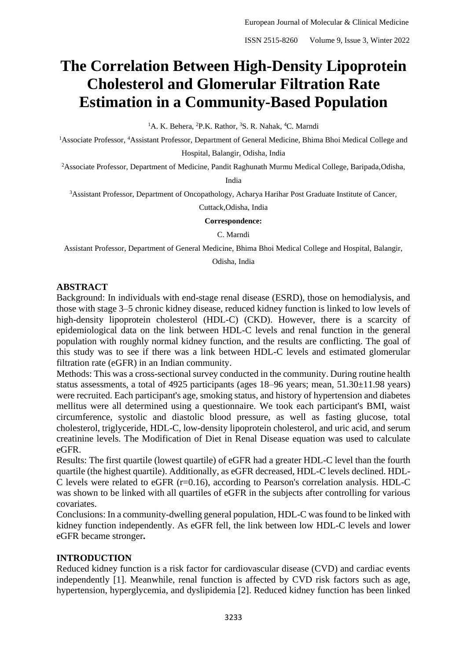# **The Correlation Between High-Density Lipoprotein Cholesterol and Glomerular Filtration Rate Estimation in a Community-Based Population**

<sup>1</sup>A. K. Behera, <sup>2</sup>P.K. Rathor, <sup>3</sup>S. R. Nahak, <sup>4</sup>C. Marndi

<sup>1</sup>Associate Professor, <sup>4</sup>Assistant Professor, Department of General Medicine, Bhima Bhoi Medical College and Hospital, Balangir, Odisha, India

<sup>2</sup>Associate Professor, Department of Medicine, Pandit Raghunath Murmu Medical College, Baripada,Odisha,

India

<sup>3</sup>Assistant Professor, Department of Oncopathology, Acharya Harihar Post Graduate Institute of Cancer,

Cuttack,Odisha, India

#### **Correspondence:**

C. Marndi

Assistant Professor, Department of General Medicine, Bhima Bhoi Medical College and Hospital, Balangir,

Odisha, India

#### **ABSTRACT**

Background: In individuals with end-stage renal disease (ESRD), those on hemodialysis, and those with stage 3–5 chronic kidney disease, reduced kidney function is linked to low levels of high-density lipoprotein cholesterol (HDL-C) (CKD). However, there is a scarcity of epidemiological data on the link between HDL-C levels and renal function in the general population with roughly normal kidney function, and the results are conflicting. The goal of this study was to see if there was a link between HDL-C levels and estimated glomerular filtration rate (eGFR) in an Indian community.

Methods: This was a cross-sectional survey conducted in the community. During routine health status assessments, a total of 4925 participants (ages 18–96 years; mean, 51.30±11.98 years) were recruited. Each participant's age, smoking status, and history of hypertension and diabetes mellitus were all determined using a questionnaire. We took each participant's BMI, waist circumference, systolic and diastolic blood pressure, as well as fasting glucose, total cholesterol, triglyceride, HDL-C, low-density lipoprotein cholesterol, and uric acid, and serum creatinine levels. The Modification of Diet in Renal Disease equation was used to calculate eGFR.

Results: The first quartile (lowest quartile) of eGFR had a greater HDL-C level than the fourth quartile (the highest quartile). Additionally, as eGFR decreased, HDL-C levels declined. HDL-C levels were related to eGFR (r=0.16), according to Pearson's correlation analysis. HDL-C was shown to be linked with all quartiles of eGFR in the subjects after controlling for various covariates.

Conclusions: In a community-dwelling general population, HDL-C was found to be linked with kidney function independently. As eGFR fell, the link between low HDL-C levels and lower eGFR became stronger**.**

#### **INTRODUCTION**

Reduced kidney function is a risk factor for cardiovascular disease (CVD) and cardiac events independently [1]. Meanwhile, renal function is affected by CVD risk factors such as age, hypertension, hyperglycemia, and dyslipidemia [2]. Reduced kidney function has been linked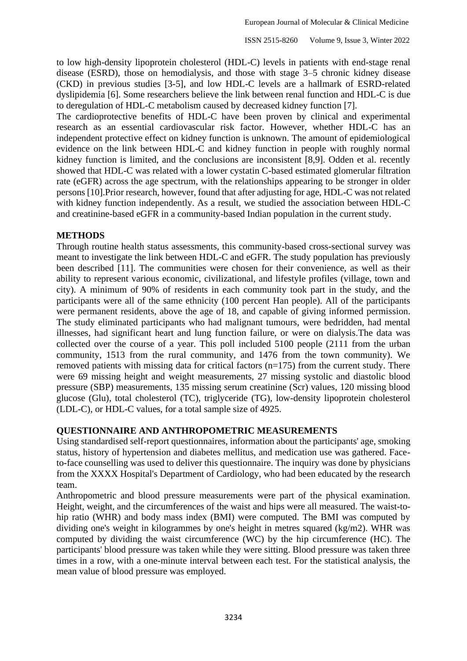to low high-density lipoprotein cholesterol (HDL-C) levels in patients with end-stage renal disease (ESRD), those on hemodialysis, and those with stage 3–5 chronic kidney disease (CKD) in previous studies [3-5], and low HDL-C levels are a hallmark of ESRD-related dyslipidemia [6]. Some researchers believe the link between renal function and HDL-C is due to deregulation of HDL-C metabolism caused by decreased kidney function [7].

The cardioprotective benefits of HDL-C have been proven by clinical and experimental research as an essential cardiovascular risk factor. However, whether HDL-C has an independent protective effect on kidney function is unknown. The amount of epidemiological evidence on the link between HDL-C and kidney function in people with roughly normal kidney function is limited, and the conclusions are inconsistent [8,9]. Odden et al. recently showed that HDL-C was related with a lower cystatin C-based estimated glomerular filtration rate (eGFR) across the age spectrum, with the relationships appearing to be stronger in older persons [10].Prior research, however, found that after adjusting for age, HDL-C was not related with kidney function independently. As a result, we studied the association between HDL-C and creatinine-based eGFR in a community-based Indian population in the current study.

### **METHODS**

Through routine health status assessments, this community-based cross-sectional survey was meant to investigate the link between HDL-C and eGFR. The study population has previously been described [11]. The communities were chosen for their convenience, as well as their ability to represent various economic, civilizational, and lifestyle profiles (village, town and city). A minimum of 90% of residents in each community took part in the study, and the participants were all of the same ethnicity (100 percent Han people). All of the participants were permanent residents, above the age of 18, and capable of giving informed permission. The study eliminated participants who had malignant tumours, were bedridden, had mental illnesses, had significant heart and lung function failure, or were on dialysis.The data was collected over the course of a year. This poll included 5100 people (2111 from the urban community, 1513 from the rural community, and 1476 from the town community). We removed patients with missing data for critical factors  $(n=175)$  from the current study. There were 69 missing height and weight measurements, 27 missing systolic and diastolic blood pressure (SBP) measurements, 135 missing serum creatinine (Scr) values, 120 missing blood glucose (Glu), total cholesterol (TC), triglyceride (TG), low-density lipoprotein cholesterol (LDL-C), or HDL-C values, for a total sample size of 4925.

#### **QUESTIONNAIRE AND ANTHROPOMETRIC MEASUREMENTS**

Using standardised self-report questionnaires, information about the participants' age, smoking status, history of hypertension and diabetes mellitus, and medication use was gathered. Faceto-face counselling was used to deliver this questionnaire. The inquiry was done by physicians from the XXXX Hospital's Department of Cardiology, who had been educated by the research team.

Anthropometric and blood pressure measurements were part of the physical examination. Height, weight, and the circumferences of the waist and hips were all measured. The waist-tohip ratio (WHR) and body mass index (BMI) were computed. The BMI was computed by dividing one's weight in kilogrammes by one's height in metres squared (kg/m2). WHR was computed by dividing the waist circumference (WC) by the hip circumference (HC). The participants' blood pressure was taken while they were sitting. Blood pressure was taken three times in a row, with a one-minute interval between each test. For the statistical analysis, the mean value of blood pressure was employed.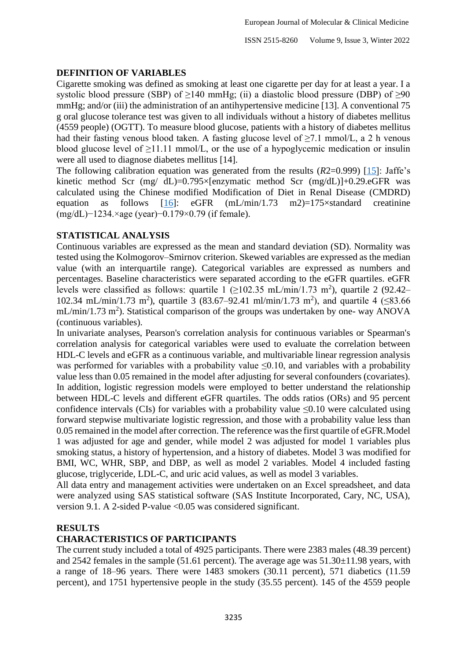## **DEFINITION OF VARIABLES**

Cigarette smoking was defined as smoking at least one cigarette per day for at least a year. I a systolic blood pressure (SBP) of  $\geq$ 140 mmHg; (ii) a diastolic blood pressure (DBP) of  $\geq$ 90 mmHg; and/or (iii) the administration of an antihypertensive medicine [13]. A conventional 75 g oral glucose tolerance test was given to all individuals without a history of diabetes mellitus (4559 people) (OGTT). To measure blood glucose, patients with a history of diabetes mellitus had their fasting venous blood taken. A fasting glucose level of ≥7.1 mmol/L, a 2 h venous blood glucose level of  $\geq$ 11.11 mmol/L, or the use of a hypoglycemic medication or insulin were all used to diagnose diabetes mellitus [14].

The following calibration equation was generated from the results (*R*2=0.999) [\[15\]](#page-7-0): Jaffe's kinetic method Scr (mg/ dL)=0.795×[enzymatic method Scr (mg/dL)]+0.29.eGFR was calculated using the Chinese modified Modification of Diet in Renal Disease (CMDRD) equation as follows [\[16\]](#page-7-1): eGFR (mL/min/1.73 m2)=175×standard creatinine (mg/dL)−1234.×age (year)−0.179×0.79 (if female).

## **STATISTICAL ANALYSIS**

Continuous variables are expressed as the mean and standard deviation (SD). Normality was tested using the Kolmogorov–Smirnov criterion. Skewed variables are expressed as the median value (with an interquartile range). Categorical variables are expressed as numbers and percentages. Baseline characteristics were separated according to the eGFR quartiles. eGFR levels were classified as follows: quartile 1 ( $\geq$ 102.35 mL/min/1.73 m<sup>2</sup>), quartile 2 (92.42– 102.34 mL/min/1.73 m<sup>2</sup>), quartile 3 (83.67–92.41 ml/min/1.73 m<sup>2</sup>), and quartile 4 (≤83.66  $mL/min/1.73$  m<sup>2</sup>). Statistical comparison of the groups was undertaken by one- way ANOVA (continuous variables).

In univariate analyses, Pearson's correlation analysis for continuous variables or Spearman's correlation analysis for categorical variables were used to evaluate the correlation between HDL-C levels and eGFR as a continuous variable, and multivariable linear regression analysis was performed for variables with a probability value ≤0.10, and variables with a probability value less than 0.05 remained in the model after adjusting for several confounders (covariates). In addition, logistic regression models were employed to better understand the relationship between HDL-C levels and different eGFR quartiles. The odds ratios (ORs) and 95 percent confidence intervals (CIs) for variables with a probability value  $\leq 0.10$  were calculated using forward stepwise multivariate logistic regression, and those with a probability value less than 0.05 remained in the model after correction. The reference was the first quartile of eGFR.Model 1 was adjusted for age and gender, while model 2 was adjusted for model 1 variables plus smoking status, a history of hypertension, and a history of diabetes. Model 3 was modified for BMI, WC, WHR, SBP, and DBP, as well as model 2 variables. Model 4 included fasting glucose, triglyceride, LDL-C, and uric acid values, as well as model 3 variables.

All data entry and management activities were undertaken on an Excel spreadsheet, and data were analyzed using SAS statistical software (SAS Institute Incorporated, Cary, NC, USA), version 9.1. A 2-sided P-value <0.05 was considered significant.

### **RESULTS**

## **CHARACTERISTICS OF PARTICIPANTS**

The current study included a total of 4925 participants. There were 2383 males (48.39 percent) and 2542 females in the sample (51.61 percent). The average age was 51.30±11.98 years, with a range of 18–96 years. There were 1483 smokers (30.11 percent), 571 diabetics (11.59 percent), and 1751 hypertensive people in the study (35.55 percent). 145 of the 4559 people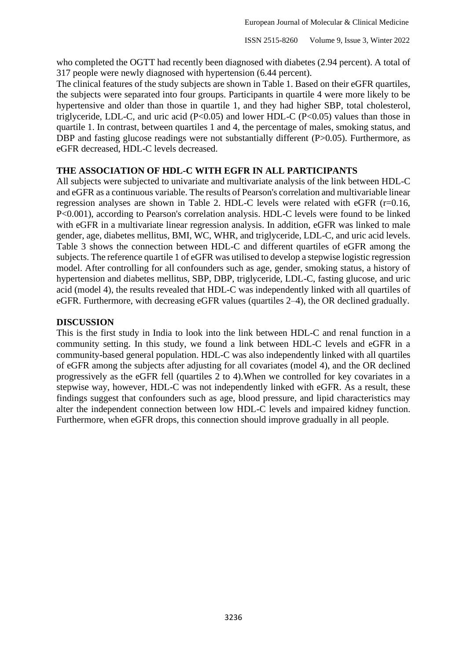who completed the OGTT had recently been diagnosed with diabetes (2.94 percent). A total of 317 people were newly diagnosed with hypertension (6.44 percent).

The clinical features of the study subjects are shown in Table 1. Based on their eGFR quartiles, the subjects were separated into four groups. Participants in quartile 4 were more likely to be hypertensive and older than those in quartile 1, and they had higher SBP, total cholesterol, triglyceride, LDL-C, and uric acid  $(P<0.05)$  and lower HDL-C  $(P<0.05)$  values than those in quartile 1. In contrast, between quartiles 1 and 4, the percentage of males, smoking status, and DBP and fasting glucose readings were not substantially different (P>0.05). Furthermore, as eGFR decreased, HDL-C levels decreased.

## **THE ASSOCIATION OF HDL-C WITH EGFR IN ALL PARTICIPANTS**

All subjects were subjected to univariate and multivariate analysis of the link between HDL-C and eGFR as a continuous variable. The results of Pearson's correlation and multivariable linear regression analyses are shown in Table 2. HDL-C levels were related with eGFR (r=0.16, P<0.001), according to Pearson's correlation analysis. HDL-C levels were found to be linked with eGFR in a multivariate linear regression analysis. In addition, eGFR was linked to male gender, age, diabetes mellitus, BMI, WC, WHR, and triglyceride, LDL-C, and uric acid levels. Table 3 shows the connection between HDL-C and different quartiles of eGFR among the subjects. The reference quartile 1 of eGFR was utilised to develop a stepwise logistic regression model. After controlling for all confounders such as age, gender, smoking status, a history of hypertension and diabetes mellitus, SBP, DBP, triglyceride, LDL-C, fasting glucose, and uric acid (model 4), the results revealed that HDL-C was independently linked with all quartiles of eGFR. Furthermore, with decreasing eGFR values (quartiles 2–4), the OR declined gradually.

## **DISCUSSION**

This is the first study in India to look into the link between HDL-C and renal function in a community setting. In this study, we found a link between HDL-C levels and eGFR in a community-based general population. HDL-C was also independently linked with all quartiles of eGFR among the subjects after adjusting for all covariates (model 4), and the OR declined progressively as the eGFR fell (quartiles 2 to 4).When we controlled for key covariates in a stepwise way, however, HDL-C was not independently linked with eGFR. As a result, these findings suggest that confounders such as age, blood pressure, and lipid characteristics may alter the independent connection between low HDL-C levels and impaired kidney function. Furthermore, when eGFR drops, this connection should improve gradually in all people.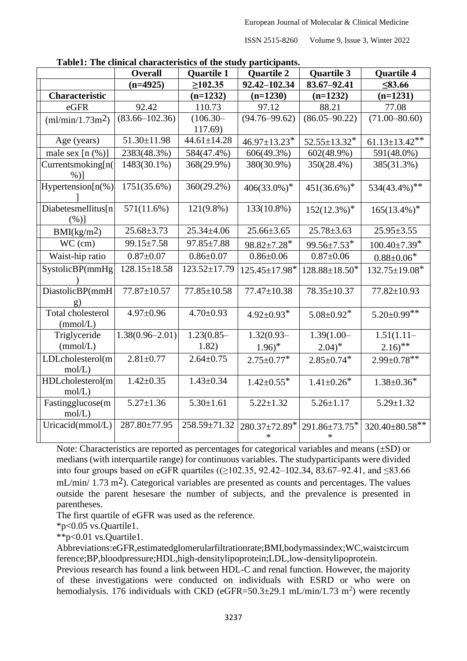ISSN 2515-8260 Volume 9, Issue 3, Winter 2022

|                              | <b>Overall</b>      | <b>Quartile 1</b>  | <b>Quartile 2</b>            | <b>Quartile 3</b>            | <b>Quartile 4</b>          |
|------------------------------|---------------------|--------------------|------------------------------|------------------------------|----------------------------|
|                              | $(n=4925)$          | $\geq 102.35$      | 92.42-102.34                 | 83.67-92.41                  | $\leq 83.66$               |
| <b>Characteristic</b>        |                     | $(n=1232)$         | $(n=1230)$                   | $(n=1232)$                   | $(n=1231)$                 |
| eGFR                         | 92.42               | 110.73             | 97.12                        | 88.21                        | 77.08                      |
| (ml/min/1.73m <sup>2</sup> ) | $(83.66 - 102.36)$  | $(106.30 -$        | $(94.76 - 99.62)$            | $(86.05 - 90.22)$            | $(71.00 - 80.60)$          |
|                              |                     | 117.69)            |                              |                              |                            |
| Age (years)                  | $51.30 \pm 11.98$   | $44.61 \pm 14.28$  | $46.97 \pm 13.23$ *          | $52.55 \pm 13.32^*$          | $61.13 \pm 13.42$ **       |
| male sex $[n (%)]$           | 2383(48.3%)         | 584(47.4%)         | 606(49.3%)                   | $602(48.9\%)$                | 591(48.0%)                 |
| Currentsmoking[n(            | 1483(30.1%)         | 368(29.9%)         | 380(30.9%)                   | 350(28.4%)                   | 385(31.3%)                 |
| $%$ )]                       |                     |                    |                              |                              |                            |
| Hypertension $[n(\%)]$       | 1751(35.6%)         | 360(29.2%)         | $406(33.0\%)^*$              | $451(36.6\%)$ <sup>*</sup>   | $534(43.4\%)$ **           |
|                              |                     |                    |                              |                              |                            |
| Diabetesmellitus[n           | 571(11.6%)          | $121(9.8\%)$       | 133(10.8%)                   | $152(12.3\%)^*$              | $165(13.4\%)$ <sup>*</sup> |
| (%)]                         |                     |                    |                              |                              |                            |
| BMI(kg/m <sup>2</sup> )      | $25.68 \pm 3.73$    | $25.34 \pm 4.06$   | $25.66 \pm 3.65$             | $25.78 \pm 3.63$             | $25.95 \pm 3.55$           |
| $WC$ (cm)                    | 99.15±7.58          | $97.85 \pm 7.88$   | $98.82 \pm 7.28$ *           | 99.56±7.53*                  | $100.40\pm7.39*$           |
| Waist-hip ratio              | $0.87 + 0.07$       | $0.86 \pm 0.07$    | $0.86 \pm 0.06$              | $0.87 \pm 0.06$              | $0.88 \pm 0.06^*$          |
| SystolicBP(mmHg              | $128.15 \pm 18.58$  | $123.52 \pm 17.79$ | 125.45±17.98*                | $128.88 \pm 18.50^*$         | 132.75±19.08*              |
|                              |                     |                    |                              |                              |                            |
| DiastolicBP(mmH              | 77.87±10.57         | 77.85±10.58        | 77.47±10.38                  | 78.35±10.37                  | 77.82±10.93                |
|                              |                     |                    |                              |                              |                            |
| <b>Total cholesterol</b>     | $4.97 \pm 0.96$     | $4.70 \pm 0.93$    | $4.92 \pm 0.93$ <sup>*</sup> | $5.08 \pm 0.92$ <sup>*</sup> | $5.20 \pm 0.99$ **         |
| (mmol/L)                     |                     |                    |                              |                              |                            |
| Triglyceride                 | $1.38(0.96 - 2.01)$ | $1.23(0.85 -$      | $1.32(0.93 -$                | $1.39(1.00 -$                | $1.51(1.11-$               |
| (mmol/L)                     |                     | 1.82)              | $1.96$ <sup>*</sup>          | $2.04$ <sup>*</sup>          | $2.16$ <sup>**</sup>       |
| LDLcholesterol(m             | $2.81 \pm 0.77$     | $2.64 \pm 0.75$    | $2.75 \pm 0.77$ *            | $2.85 \pm 0.74$ <sup>*</sup> | $2.99 \pm 0.78$ **         |
| mol/L)                       |                     |                    |                              |                              |                            |
| HDLcholesterol(m             | $1.42 \pm 0.35$     | $1.43 \pm 0.34$    | $1.42 \pm 0.55$ <sup>*</sup> | $1.41 \pm 0.26$ <sup>*</sup> | $1.38 \pm 0.36^*$          |
| mol/L)                       |                     |                    |                              |                              |                            |
| Fastingglucose(m             | $5.27 \pm 1.36$     | $5.30 \pm 1.61$    | $5.22 \pm 1.32$              | $5.26 \pm 1.17$              | $5.29 \pm 1.32$            |
| mol/L)                       |                     |                    |                              |                              |                            |
| Uricacid(mmol/L)             | 287.80±77.95        | 258.59±71.32       | 280.37±72.89*                | $291.86 \pm 73.75^*$         | 320.40±80.58**             |
|                              |                     |                    | $\ast$                       |                              |                            |

**Table1: The clinical characteristics of the study participants.**

Note: Characteristics are reported as percentages for categorical variables and means (±SD) or medians (with interquartile range) for continuous variables. The studyparticipants were divided into four groups based on eGFR quartiles ( $(≥102.35, 92.42-102.34, 83.67-92.41,$  and  $≤83.66$  $mL/min/ 1.73 m<sup>2</sup>$ ). Categorical variables are presented as counts and percentages. The values outside the parent hesesare the number of subjects, and the prevalence is presented in parentheses.

The first quartile of eGFR was used as the reference.

\*p<0.05 vs.Quartile1.

\*\*p<0.01 vs.Quartile1.

Abbreviations:eGFR,estimatedglomerularfiltrationrate;BMI,bodymassindex;WC,waistcircum ference;BP,bloodpressure;HDL,high-densitylipoprotein;LDL,low-densitylipoprotein.

Previous research has found a link between HDL-C and renal function. However, the majority of these investigations were conducted on individuals with ESRD or who were on hemodialysis. 176 individuals with CKD (eGFR=50.3 $\pm$ 29.1 mL/min/1.73 m<sup>2</sup>) were recently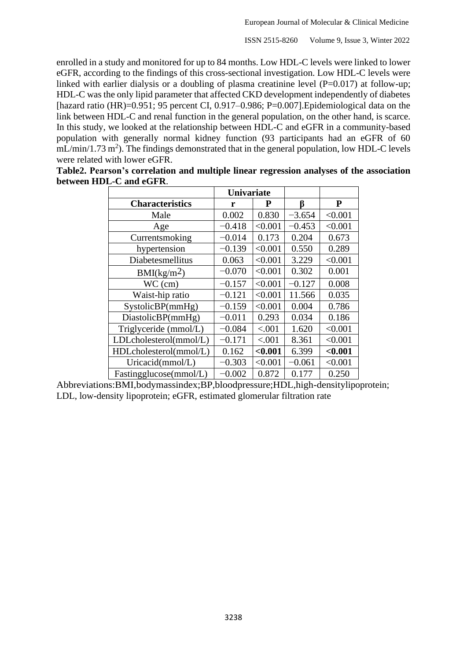enrolled in a study and monitored for up to 84 months. Low HDL-C levels were linked to lower eGFR, according to the findings of this cross-sectional investigation. Low HDL-C levels were linked with earlier dialysis or a doubling of plasma creatinine level  $(P=0.017)$  at follow-up; HDL-C was the only lipid parameter that affected CKD development independently of diabetes [hazard ratio (HR)= $0.951$ ; 95 percent CI, 0.917–0.986; P= $0.007$ ]. Epidemiological data on the link between HDL-C and renal function in the general population, on the other hand, is scarce. In this study, we looked at the relationship between HDL-C and eGFR in a community-based population with generally normal kidney function (93 participants had an eGFR of 60  $mL/min/1.73 m<sup>2</sup>$ ). The findings demonstrated that in the general population, low HDL-C levels were related with lower eGFR.

|                         | <b>Univariate</b> |         |          |         |
|-------------------------|-------------------|---------|----------|---------|
| <b>Characteristics</b>  | r                 | P       | ß        | P       |
| Male                    | 0.002             | 0.830   | $-3.654$ | < 0.001 |
| Age                     | $-0.418$          | < 0.001 | $-0.453$ | < 0.001 |
| Currentsmoking          | $-0.014$          | 0.173   | 0.204    | 0.673   |
| hypertension            | $-0.139$          | < 0.001 | 0.550    | 0.289   |
| Diabetesmellitus        | 0.063             | < 0.001 | 3.229    | < 0.001 |
| BMI(kg/m <sup>2</sup> ) | $-0.070$          | < 0.001 | 0.302    | 0.001   |
| $WC$ (cm)               | $-0.157$          | < 0.001 | $-0.127$ | 0.008   |
| Waist-hip ratio         | $-0.121$          | < 0.001 | 11.566   | 0.035   |
| SystolicBP(mmHg)        | $-0.159$          | < 0.001 | 0.004    | 0.786   |
| DiastolicBP(mmHg)       | $-0.011$          | 0.293   | 0.034    | 0.186   |
| Triglyceride (mmol/L)   | $-0.084$          | < .001  | 1.620    | < 0.001 |
| LDLcholesterol(mmol/L)  | $-0.171$          | < .001  | 8.361    | < 0.001 |
| HDLcholesterol(mmol/L)  | 0.162             | < 0.001 | 6.399    | < 0.001 |
| Uricacid(mmol/L)        | $-0.303$          | < 0.001 | $-0.061$ | < 0.001 |
| Fastingglucose(mmol/L)  | $-0.002$          | 0.872   | 0.177    | 0.250   |

**Table2. Pearson's correlation and multiple linear regression analyses of the association between HDL-C and eGFR**.

Abbreviations:BMI,bodymassindex;BP,bloodpressure;HDL,high-densitylipoprotein; LDL, low-density lipoprotein; eGFR, estimated glomerular filtration rate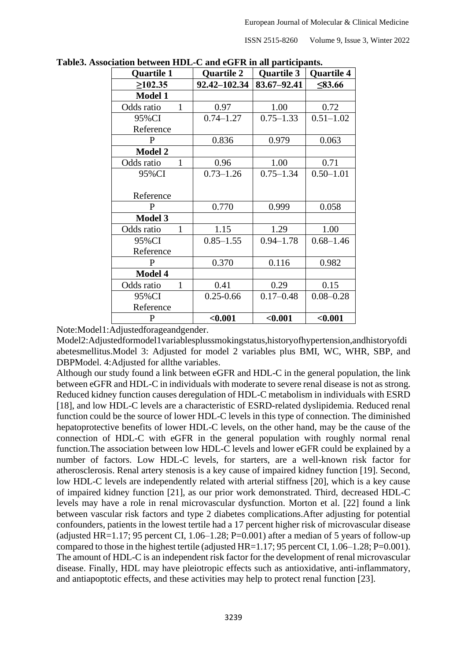ISSN 2515-8260 Volume 9, Issue 3, Winter 2022

| <b>Quartile 1</b> | <b>Quartile 2</b> | <b>Quartile 3</b> | Quartile 4    |  |
|-------------------|-------------------|-------------------|---------------|--|
| $\geq 102.35$     | 92.42-102.34      | 83.67-92.41       | $\leq 83.66$  |  |
| <b>Model 1</b>    |                   |                   |               |  |
| Odds ratio<br>1   | 0.97              | 1.00              | 0.72          |  |
| 95%CI             | $0.74 - 1.27$     | $0.75 - 1.33$     | $0.51 - 1.02$ |  |
| Reference         |                   |                   |               |  |
| $\mathbf{P}$      | 0.836             | 0.979             | 0.063         |  |
| <b>Model 2</b>    |                   |                   |               |  |
| Odds ratio<br>1   | 0.96              | 1.00              | 0.71          |  |
| 95%CI             | $0.73 - 1.26$     | $0.75 - 1.34$     | $0.50 - 1.01$ |  |
|                   |                   |                   |               |  |
| Reference         |                   |                   |               |  |
| P                 | 0.770             | 0.999             | 0.058         |  |
| <b>Model 3</b>    |                   |                   |               |  |
| Odds ratio        | 1.15              | 1.29              | 1.00          |  |
| 95%CI             | $0.85 - 1.55$     | $0.94 - 1.78$     | $0.68 - 1.46$ |  |
| Reference         |                   |                   |               |  |
| P                 | 0.370             | 0.116             | 0.982         |  |
| <b>Model 4</b>    |                   |                   |               |  |
| Odds ratio        | 0.41              | 0.29              | 0.15          |  |
| 95%CI             | $0.25 - 0.66$     | $0.17 - 0.48$     | $0.08 - 0.28$ |  |
| Reference         |                   |                   |               |  |
| P                 | < 0.001           | $0.001$           | < 0.001       |  |

**Table3. Association between HDL-C and eGFR in all participants.**

Note:Model1:Adjustedforageandgender.

Model2:Adjustedformodel1variablesplussmokingstatus,historyofhypertension,andhistoryofdi abetesmellitus.Model 3: Adjusted for model 2 variables plus BMI, WC, WHR, SBP, and DBPModel. 4:Adjusted for allthe variables.

Although our study found a link between eGFR and HDL-C in the general population, the link between eGFR and HDL-C in individuals with moderate to severe renal disease is not as strong. Reduced kidney function causes deregulation of HDL-C metabolism in individuals with ESRD [18], and low HDL-C levels are a characteristic of ESRD-related dyslipidemia. Reduced renal function could be the source of lower HDL-C levels in this type of connection. The diminished hepatoprotective benefits of lower HDL-C levels, on the other hand, may be the cause of the connection of HDL-C with eGFR in the general population with roughly normal renal function.The association between low HDL-C levels and lower eGFR could be explained by a number of factors. Low HDL-C levels, for starters, are a well-known risk factor for atherosclerosis. Renal artery stenosis is a key cause of impaired kidney function [19]. Second, low HDL-C levels are independently related with arterial stiffness [20], which is a key cause of impaired kidney function [21], as our prior work demonstrated. Third, decreased HDL-C levels may have a role in renal microvascular dysfunction. Morton et al. [22] found a link between vascular risk factors and type 2 diabetes complications.After adjusting for potential confounders, patients in the lowest tertile had a 17 percent higher risk of microvascular disease (adjusted HR=1.17; 95 percent CI, 1.06–1.28; P=0.001) after a median of 5 years of follow-up compared to those in the highest tertile (adjusted HR=1.17; 95 percent CI, 1.06–1.28; P=0.001). The amount of HDL-C is an independent risk factor for the development of renal microvascular disease. Finally, HDL may have pleiotropic effects such as antioxidative, anti-inflammatory, and antiapoptotic effects, and these activities may help to protect renal function [23].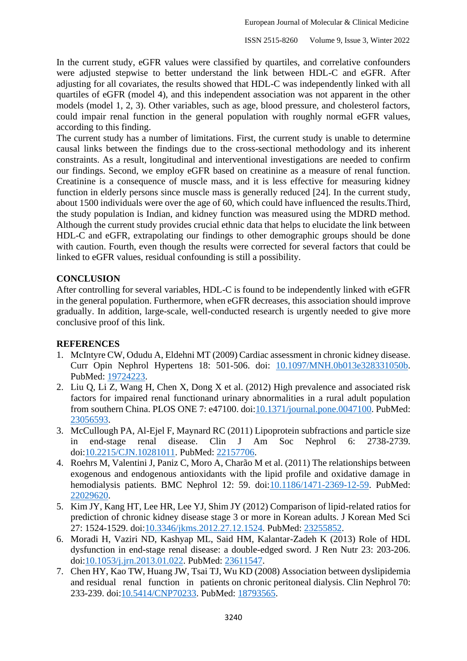In the current study, eGFR values were classified by quartiles, and correlative confounders were adjusted stepwise to better understand the link between HDL-C and eGFR. After adjusting for all covariates, the results showed that HDL-C was independently linked with all quartiles of eGFR (model 4), and this independent association was not apparent in the other models (model 1, 2, 3). Other variables, such as age, blood pressure, and cholesterol factors, could impair renal function in the general population with roughly normal eGFR values, according to this finding.

The current study has a number of limitations. First, the current study is unable to determine causal links between the findings due to the cross-sectional methodology and its inherent constraints. As a result, longitudinal and interventional investigations are needed to confirm our findings. Second, we employ eGFR based on creatinine as a measure of renal function. Creatinine is a consequence of muscle mass, and it is less effective for measuring kidney function in elderly persons since muscle mass is generally reduced [24]. In the current study, about 1500 individuals were over the age of 60, which could have influenced the results.Third, the study population is Indian, and kidney function was measured using the MDRD method. Although the current study provides crucial ethnic data that helps to elucidate the link between HDL-C and eGFR, extrapolating our findings to other demographic groups should be done with caution. Fourth, even though the results were corrected for several factors that could be linked to eGFR values, residual confounding is still a possibility.

#### **CONCLUSION**

After controlling for several variables, HDL-C is found to be independently linked with eGFR in the general population. Furthermore, when eGFR decreases, this association should improve gradually. In addition, large-scale, well-conducted research is urgently needed to give more conclusive proof of this link.

#### **REFERENCES**

- 1. McIntyre CW, Odudu A, Eldehni MT (2009) Cardiac assessment in chronic kidney disease. Curr Opin Nephrol Hypertens 18: 501-506. doi: [10.1097/MNH.0b013e328331050b.](http://dx.doi.org/10.1097/MNH.0b013e328331050b) PubMed: [19724223.](http://www.ncbi.nlm.nih.gov/pubmed/19724223)
- <span id="page-7-0"></span>2. Liu Q, Li Z, Wang H, Chen X, Dong X et al. (2012) High prevalence and associated risk factors for impaired renal functionand urinary abnormalities in a rural adult population from southern China. PLOS ONE 7: e47100. doi: **10.1371/journal.pone.0047100**. PubMed: [23056593.](http://www.ncbi.nlm.nih.gov/pubmed/23056593)
- <span id="page-7-1"></span>3. McCullough PA, Al-Ejel F, Maynard RC (2011) Lipoprotein subfractions and particle size in end-stage renal disease. Clin J Am Soc Nephrol 6: 2738-2739. doi[:10.2215/CJN.10281011.](http://dx.doi.org/10.2215/CJN.10281011) PubMed: [22157706.](http://www.ncbi.nlm.nih.gov/pubmed/22157706)
- 4. Roehrs M, Valentini J, Paniz C, Moro A, Charão M et al. (2011) The relationships between exogenous and endogenous antioxidants with the lipid profile and oxidative damage in hemodialysis patients. BMC Nephrol 12: 59. doi[:10.1186/1471-2369-12-59.](http://dx.doi.org/10.1186/1471-2369-12-59) PubMed: [22029620.](http://www.ncbi.nlm.nih.gov/pubmed/22029620)
- 5. Kim JY, Kang HT, Lee HR, Lee YJ, Shim JY (2012) Comparison of lipid-related ratios for prediction of chronic kidney disease stage 3 or more in Korean adults. J Korean Med Sci 27: 1524-1529. doi[:10.3346/jkms.2012.27.12.1524.](http://dx.doi.org/10.3346/jkms.2012.27.12.1524) PubMed: [23255852.](http://www.ncbi.nlm.nih.gov/pubmed/23255852)
- 6. Moradi H, Vaziri ND, Kashyap ML, Said HM, Kalantar-Zadeh K (2013) Role of HDL dysfunction in end-stage renal disease: a double-edged sword. J Ren Nutr 23: 203-206. doi[:10.1053/j.jrn.2013.01.022.](http://dx.doi.org/10.1053/j.jrn.2013.01.022) PubMed: [23611547.](http://www.ncbi.nlm.nih.gov/pubmed/23611547)
- 7. Chen HY, Kao TW, Huang JW, Tsai TJ, Wu KD (2008) Association between dyslipidemia and residual renal function in patients on chronic peritoneal dialysis. Clin Nephrol 70: 233-239. doi[:10.5414/CNP70233.](http://dx.doi.org/10.5414/CNP70233) PubMed: [18793565.](http://www.ncbi.nlm.nih.gov/pubmed/18793565)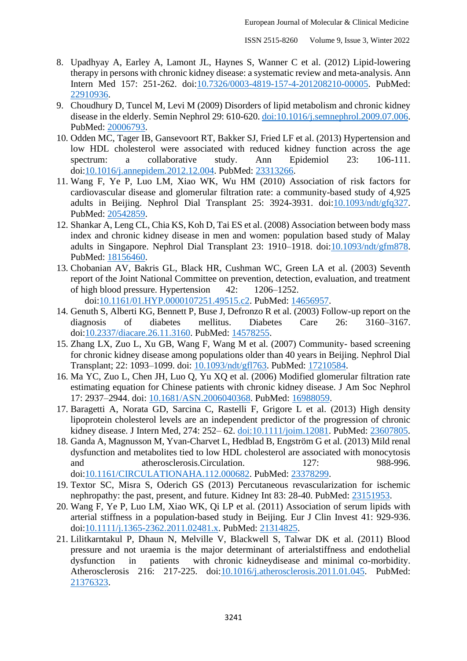- 8. Upadhyay A, Earley A, Lamont JL, Haynes S, Wanner C et al. (2012) Lipid-lowering therapy in persons with chronic kidney disease: a systematic review and meta-analysis. Ann Intern Med 157: 251-262. doi[:10.7326/0003-4819-157-4-201208210-00005.](http://dx.doi.org/10.7326/0003-4819-157-4-201208210-00005) PubMed: [22910936.](http://www.ncbi.nlm.nih.gov/pubmed/22910936)
- 9. Choudhury D, Tuncel M, Levi M (2009) Disorders of lipid metabolism and chronic kidney disease in the elderly. Semin Nephrol 29: 610-620. [doi:10.1016/j.semnephrol.2009.07.006.](http://dx.doi.org/10.1016/j.semnephrol.2009.07.006) PubMed: [20006793.](http://www.ncbi.nlm.nih.gov/pubmed/20006793)
- 10. Odden MC, Tager IB, Gansevoort RT, Bakker SJ, Fried LF et al. (2013) Hypertension and low HDL cholesterol were associated with reduced kidney function across the age spectrum: a collaborative study. Ann Epidemiol 23: 106-111. doi[:10.1016/j.annepidem.2012.12.004.](http://dx.doi.org/10.1016/j.annepidem.2012.12.004) PubMed: [23313266.](http://www.ncbi.nlm.nih.gov/pubmed/23313266)
- 11. Wang F, Ye P, Luo LM, Xiao WK, Wu HM (2010) Association of risk factors for cardiovascular disease and glomerular filtration rate: a community-based study of 4,925 adults in Beijing. Nephrol Dial Transplant 25: 3924-3931. doi[:10.1093/ndt/gfq327.](http://dx.doi.org/10.1093/ndt/gfq327) PubMed: [20542859.](http://www.ncbi.nlm.nih.gov/pubmed/20542859)
- 12. Shankar A, Leng CL, Chia KS, Koh D, Tai ES et al. (2008) Association between body mass index and chronic kidney disease in men and women: population based study of Malay adults in Singapore. Nephrol Dial Transplant 23: 1910–1918. doi[:10.1093/ndt/gfm878.](http://dx.doi.org/10.1093/ndt/gfm878) PubMed: [18156460.](http://www.ncbi.nlm.nih.gov/pubmed/18156460)
- 13. Chobanian AV, Bakris GL, Black HR, Cushman WC, Green LA et al. (2003) Seventh report of the Joint National Committee on prevention, detection, evaluation, and treatment of high blood pressure. Hypertension 42: 1206–1252. doi[:10.1161/01.HYP.0000107251.49515.c2.](http://dx.doi.org/10.1161/01.HYP.0000107251.49515.c2) PubMed: [14656957.](http://www.ncbi.nlm.nih.gov/pubmed/14656957)
- 14. Genuth S, Alberti KG, Bennett P, Buse J, Defronzo R et al. (2003) Follow-up report on the diagnosis of diabetes mellitus. Diabetes Care 26: 3160–3167.
- doi[:10.2337/diacare.26.11.3160.](http://dx.doi.org/10.2337/diacare.26.11.3160) PubMed: [14578255.](http://www.ncbi.nlm.nih.gov/pubmed/14578255) 15. Zhang LX, Zuo L, Xu GB, Wang F, Wang M et al. (2007) Community- based screening
- for chronic kidney disease among populations older than 40 years in Beijing. Nephrol Dial Transplant; 22: 1093–1099. doi: [10.1093/ndt/gfl763.](http://dx.doi.org/10.1093/ndt/gfl763) PubMed: [17210584.](http://www.ncbi.nlm.nih.gov/pubmed/17210584)
- 16. Ma YC, Zuo L, Chen JH, Luo Q, Yu XQ et al. (2006) Modified glomerular filtration rate estimating equation for Chinese patients with chronic kidney disease. J Am Soc Nephrol 17: 2937–2944. doi: [10.1681/ASN.2006040368.](http://dx.doi.org/10.1681/ASN.2006040368) PubMed: [16988059.](http://www.ncbi.nlm.nih.gov/pubmed/16988059)
- 17. Baragetti A, Norata GD, Sarcina C, Rastelli F, Grigore L et al. (2013) High density lipoprotein cholesterol levels are an independent predictor of the progression of chronic kidney disease. J Intern Med, 274: 252– 62. [doi:10.1111/joim.12081.](http://dx.doi.org/10.1111/joim.12081) PubMed: [23607805.](http://www.ncbi.nlm.nih.gov/pubmed/23607805)
- 18. Ganda A, Magnusson M, Yvan-Charvet L, Hedblad B, Engström G et al. (2013) Mild renal dysfunction and metabolites tied to low HDL cholesterol are associated with monocytosis and atherosclerosis.Circulation. 127: 988-996. doi[:10.1161/CIRCULATIONAHA.112.000682.](http://dx.doi.org/10.1161/CIRCULATIONAHA.112.000682) PubMed: [23378299.](http://www.ncbi.nlm.nih.gov/pubmed/23378299)
- 19. Textor SC, Misra S, Oderich GS (2013) Percutaneous revascularization for ischemic nephropathy: the past, present, and future. Kidney Int 83: 28-40. PubMed: [23151953.](http://www.ncbi.nlm.nih.gov/pubmed/23151953)
- 20. Wang F, Ye P, Luo LM, Xiao WK, Qi LP et al. (2011) Association of serum lipids with arterial stiffness in a population-based study in Beijing. Eur J Clin Invest 41: 929-936. doi[:10.1111/j.1365-2362.2011.02481.x.](http://dx.doi.org/10.1111/j.1365-2362.2011.02481.x) PubMed: [21314825.](http://www.ncbi.nlm.nih.gov/pubmed/21314825)
- 21. Lilitkarntakul P, Dhaun N, Melville V, Blackwell S, Talwar DK et al. (2011) Blood pressure and not uraemia is the major determinant of arterialstiffness and endothelial dysfunction in patients with chronic kidneydisease and minimal co-morbidity. Atherosclerosis 216: 217-225. doi[:10.1016/j.atherosclerosis.2011.01.045.](http://dx.doi.org/10.1016/j.atherosclerosis.2011.01.045) PubMed: [21376323.](http://www.ncbi.nlm.nih.gov/pubmed/21376323)